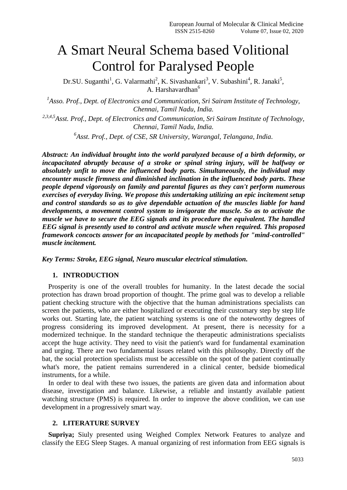# A Smart Neural Schema based Volitional Control for Paralysed People

Dr.SU. Suganthi<sup>1</sup>, G. Valarmathi<sup>2</sup>, K. Sivashankari<sup>3</sup>, V. Subashini<sup>4</sup>, R. Janaki<sup>5</sup>, A. Harshavardhan<sup>6</sup>

<sup>1</sup> Asso. Prof., Dept. of Electronics and Communication, Sri Sairam Institute of Technology, *Chennai, Tamil Nadu, India.*

*2,3,4,5Asst. Prof., Dept. of Electronics and Communication, Sri Sairam Institute of Technology, Chennai, Tamil Nadu, India.*

*6 Asst. Prof., Dept. of CSE, SR University, Warangal, Telangana, India.*

*Abstract: An individual brought into the world paralyzed because of a birth deformity, or incapacitated abruptly because of a stroke or spinal string injury, will be halfway or absolutely unfit to move the influenced body parts. Simultaneously, the individual may encounter muscle firmness and diminished inclination in the influenced body parts. These people depend vigorously on family and parental figures as they can't perform numerous exercises of everyday living. We propose this undertaking utilizing an epic incitement setup and control standards so as to give dependable actuation of the muscles liable for hand developments, a movement control system to invigorate the muscle. So as to activate the muscle we have to secure the EEG signals and its procedure the equivalent. The handled EEG signal is presently used to control and activate muscle when required. This proposed framework concocts answer for an incapacitated people by methods for "mind-controlled" muscle incitement.*

*Key Terms: Stroke, EEG signal, Neuro muscular electrical stimulation.*

## **1. INTRODUCTION**

Prosperity is one of the overall troubles for humanity. In the latest decade the social protection has drawn broad proportion of thought. The prime goal was to develop a reliable patient checking structure with the objective that the human administrations specialists can screen the patients, who are either hospitalized or executing their customary step by step life works out. Starting late, the patient watching systems is one of the noteworthy degrees of progress considering its improved development. At present, there is necessity for a modernized technique. In the standard technique the therapeutic administrations specialists accept the huge activity. They need to visit the patient's ward for fundamental examination and urging. There are two fundamental issues related with this philosophy. Directly off the bat, the social protection specialists must be accessible on the spot of the patient continually what's more, the patient remains surrendered in a clinical center, bedside biomedical instruments, for a while.

In order to deal with these two issues, the patients are given data and information about disease, investigation and balance. Likewise, a reliable and instantly available patient watching structure (PMS) is required. In order to improve the above condition, we can use development in a progressively smart way.

## **2. LITERATURE SURVEY**

**Supriya;** Siuly presented using Weighed Complex Network Features to analyze and classify the EEG Sleep Stages. A manual organizing of rest information from EEG signals is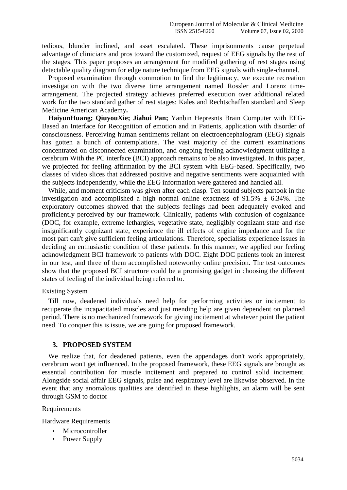tedious, blunder inclined, and asset escalated. These imprisonments cause perpetual advantage of clinicians and pros toward the customized, request of EEG signals by the rest of the stages. This paper proposes an arrangement for modified gathering of rest stages using detectable quality diagram for edge nature technique from EEG signals with single-channel.

Proposed examination through commotion to find the legitimacy, we execute recreation investigation with the two diverse time arrangement named Rossler and Lorenz timearrangement. The projected strategy achieves preferred execution over additional related work for the two standard gather of rest stages: Kales and Rechtschaffen standard and Sleep Medicine American Academy**.**

**HaiyunHuang; QiuyouXie; Jiahui Pan;** Yanbin Hepresnts Brain Computer with EEG-Based an Interface for Recognition of emotion and in Patients, application with disorder of consciousness. Perceiving human sentiments reliant on electroencephalogram (EEG) signals has gotten a bunch of contemplations. The vast majority of the current examinations concentrated on disconnected examination, and ongoing feeling acknowledgment utilizing a cerebrum With the PC interface (BCI) approach remains to be also investigated. In this paper, we projected for feeling affirmation by the BCI system with EEG-based. Specifically, two classes of video slices that addressed positive and negative sentiments were acquainted with the subjects independently, while the EEG information were gathered and handled all.

While, and moment criticism was given after each clasp. Ten sound subjects partook in the investigation and accomplished a high normal online exactness of  $91.5\% \pm 6.34\%$ . The exploratory outcomes showed that the subjects feelings had been adequately evoked and proficiently perceived by our framework. Clinically, patients with confusion of cognizance (DOC, for example, extreme lethargies, vegetative state, negligibly cognizant state and rise insignificantly cognizant state, experience the ill effects of engine impedance and for the most part can't give sufficient feeling articulations. Therefore, specialists experience issues in deciding an enthusiastic condition of these patients. In this manner, we applied our feeling acknowledgment BCI framework to patients with DOC. Eight DOC patients took an interest in our test, and three of them accomplished noteworthy online precision. The test outcomes show that the proposed BCI structure could be a promising gadget in choosing the different states of feeling of the individual being referred to.

#### Existing System

Till now, deadened individuals need help for performing activities or incitement to recuperate the incapacitated muscles and just mending help are given dependent on planned period. There is no mechanized framework for giving incitement at whatever point the patient need. To conquer this is issue, we are going for proposed framework.

#### **3. PROPOSED SYSTEM**

We realize that, for deadened patients, even the appendages don't work appropriately, cerebrum won't get influenced. In the proposed framework, these EEG signals are brought as essential contribution for muscle incitement and prepared to control solid incitement. Alongside social affair EEG signals, pulse and respiratory level are likewise observed. In the event that any anomalous qualities are identified in these highlights, an alarm will be sent through GSM to doctor

#### Requirements

Hardware Requirements

- **Microcontroller**
- Power Supply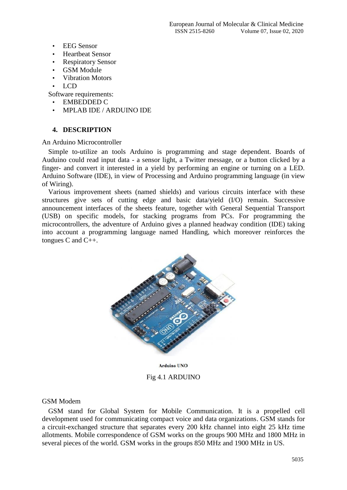- EEG Sensor
- Heartbeat Sensor
- Respiratory Sensor
- GSM Module
- Vibration Motors
- LCD

Software requirements:

- EMBEDDED C
- MPLAB IDE / ARDUINO IDE

### **4. DESCRIPTION**

An Arduino Microcontroller

Simple to-utilize an tools Arduino is programming and stage dependent. Boards of Auduino could read input data - a sensor light, a Twitter message, or a button clicked by a finger- and convert it interested in a yield by performing an engine or turning on a LED. Arduino Software (IDE), in view of Processing and Arduino programming language (in view of Wiring).

Various improvement sheets (named shields) and various circuits interface with these structures give sets of cutting edge and basic data/yield (I/O) remain. Successive announcement interfaces of the sheets feature, together with General Sequential Transport (USB) on specific models, for stacking programs from PCs. For programming the microcontrollers, the adventure of Arduino gives a planned headway condition (IDE) taking into account a programming language named Handling, which moreover reinforces the tongues C and C++.



**Arduino UNO** Fig 4.1 ARDUINO

#### GSM Modem

GSM stand for Global System for Mobile Communication. It is a propelled cell development used for communicating compact voice and data organizations. GSM stands for a circuit-exchanged structure that separates every 200 kHz channel into eight 25 kHz time allotments. Mobile correspondence of GSM works on the groups 900 MHz and 1800 MHz in several pieces of the world. GSM works in the groups 850 MHz and 1900 MHz in US.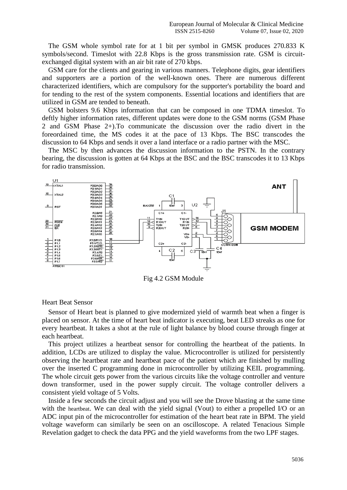The GSM whole symbol rate for at 1 bit per symbol in GMSK produces 270.833 K symbols/second. Timeslot with 22.8 Kbps is the gross transmission rate. GSM is circuitexchanged digital system with an air bit rate of 270 kbps.

GSM care for the clients and gearing in various manners. Telephone digits, gear identifiers and supporters are a portion of the well-known ones. There are numerous different characterized identifiers, which are compulsory for the supporter's portability the board and for tending to the rest of the system components. Essential locations and identifiers that are utilized in GSM are tended to beneath.

GSM bolsters 9.6 Kbps information that can be composed in one TDMA timeslot. To deftly higher information rates, different updates were done to the GSM norms (GSM Phase 2 and GSM Phase 2+).To communicate the discussion over the radio divert in the foreordained time, the MS codes it at the pace of 13 Kbps. The BSC transcodes the discussion to 64 Kbps and sends it over a land interface or a radio partner with the MSC.

The MSC by then advances the discussion information to the PSTN. In the contrary bearing, the discussion is gotten at 64 Kbps at the BSC and the BSC transcodes it to 13 Kbps for radio transmission.



Fig 4.2 GSM Module

#### Heart Beat Sensor

Sensor of Heart beat is planned to give modernized yield of warmth beat when a finger is placed on sensor. At the time of heart beat indicator is executing, beat LED streaks as one for every heartbeat. It takes a shot at the rule of light balance by blood course through finger at each heartbeat.

This project utilizes a heartbeat sensor for controlling the heartbeat of the patients. In addition, LCDs are utilized to display the value. Microcontroller is utilized for persistently observing the heartbeat rate and heartbeat pace of the patient which are finished by mulling over the inserted C programming done in microcontroller by utilizing KEIL programming. The whole circuit gets power from the various circuits like the voltage controller and venture down transformer, used in the power supply circuit. The voltage controller delivers a consistent yield voltage of 5 Volts.

Inside a few seconds the circuit adjust and you will see the Drove blasting at the same time with the heartbeat. We can deal with the yield signal (Vout) to either a propelled I/O or an ADC input pin of the microcontroller for estimation of the heart beat rate in BPM. The yield voltage waveform can similarly be seen on an oscilloscope. A related Tenacious Simple Revelation gadget to check the data PPG and the yield waveforms from the two LPF stages.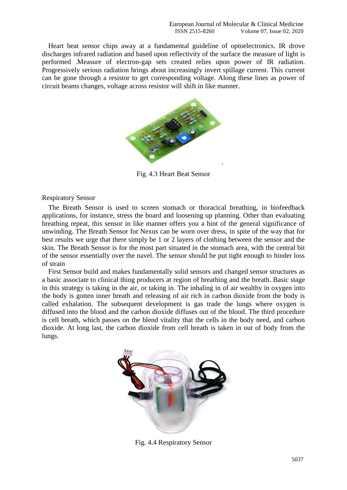Heart beat sensor chips away at a fundamental guideline of optoelectronics. IR drove discharges infrared radiation and based upon reflectivity of the surface the measure of light is performed .Measure of electron-gap sets created relies upon power of IR radiation. Progressively serious radiation brings about increasingly invert spillage current. This current can be gone through a resistor to get corresponding voltage. Along these lines as power of circuit beams changes, voltage across resistor will shift in like manner.



Fig. 4.3 Heart Beat Sensor

Respiratory Sensor

The Breath Sensor is used to screen stomach or thoracical breathing, in biofeedback applications, for instance, stress the board and loosening up planning. Other than evaluating breathing repeat, this sensor in like manner offers you a hint of the general significance of unwinding. The Breath Sensor for Nexus can be worn over dress, in spite of the way that for best results we urge that there simply be 1 or 2 layers of clothing between the sensor and the skin. The Breath Sensor is for the most part situated in the stomach area, with the central bit of the sensor essentially over the navel. The sensor should be put tight enough to hinder loss of strain

First Sensor build and makes fundamentally solid sensors and changed sensor structures as a basic associate to clinical thing producers at region of breathing and the breath. Basic stage in this strategy is taking in the air, or taking in. The inhaling in of air wealthy in oxygen into the body is gotten inner breath and releasing of air rich in carbon dioxide from the body is called exhalation. The subsequent development is gas trade the lungs where oxygen is diffused into the blood and the carbon dioxide diffuses out of the blood. The third procedure is cell breath, which passes on the blend vitality that the cells in the body need, and carbon dioxide. At long last, the carbon dioxide from cell breath is taken in out of body from the lungs.



Fig. 4.4 Respiratory Sensor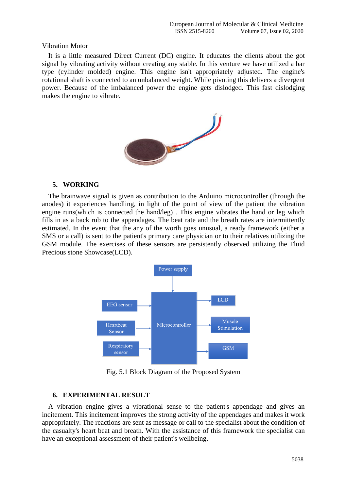#### Vibration Motor

It is a little measured Direct Current (DC) engine. It educates the clients about the got signal by vibrating activity without creating any stable. In this venture we have utilized a bar type (cylinder molded) engine. This engine isn't appropriately adjusted. The engine's rotational shaft is connected to an unbalanced weight. While pivoting this delivers a divergent power. Because of the imbalanced power the engine gets dislodged. This fast dislodging makes the engine to vibrate.



# **5. WORKING**

The brainwave signal is given as contribution to the Arduino microcontroller (through the anodes) it experiences handling, in light of the point of view of the patient the vibration engine runs(which is connected the hand/leg) . This engine vibrates the hand or leg which fills in as a back rub to the appendages. The beat rate and the breath rates are intermittently estimated. In the event that the any of the worth goes unusual, a ready framework (either a SMS or a call) is sent to the patient's primary care physician or to their relatives utilizing the GSM module. The exercises of these sensors are persistently observed utilizing the Fluid Precious stone Showcase(LCD).



Fig. 5.1 Block Diagram of the Proposed System

## **6. EXPERIMENTAL RESULT**

A vibration engine gives a vibrational sense to the patient's appendage and gives an incitement. This incitement improves the strong activity of the appendages and makes it work appropriately. The reactions are sent as message or call to the specialist about the condition of the casualty's heart beat and breath. With the assistance of this framework the specialist can have an exceptional assessment of their patient's wellbeing.